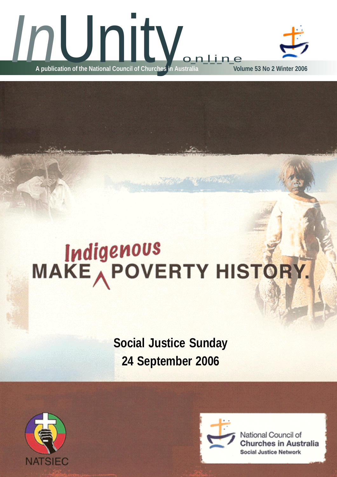

# Indigenous<br>MAKE POVERTY HISTORY.

**Social Justice Sunday 24 September 2006**





**OSTANDA** 

National Council of **Churches in Australia Social Justice Network**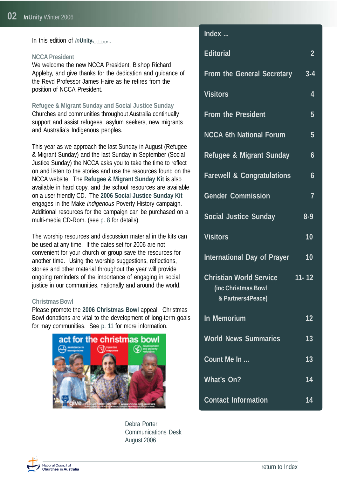<span id="page-1-0"></span>In this edition of *In*Unity<sub>online</sub>...

#### **NCCA President**

We welcome the new NCCA President, Bishop Richard Appleby, and give thanks for the dedication and guidance of the Revd Professor James Haire as he retires from the position of NCCA President.

#### **Refugee & Migrant Sunday and Social Justice Sunday** Churches and communities throughout Australia continually

support and assist refugees, asylum seekers, new migrants and Australia's Indigenous peoples.

This year as we approach the last Sunday in August (Refugee & Migrant Sunday) and the last Sunday in September (Social Justice Sunday) the NCCA asks you to take the time to reflect on and listen to the stories and use the resources found on the NCCA website. The **Refugee & Migrant Sunday Kit** is also available in hard copy, and the school resources are available on a user friendly CD. The **2006 Social Justice Sunday Kit** engages in the Make *Indigenous* Poverty History campaign. Additional resources for the campaign can be purchased on a multi-media CD-Rom. (see [p. 8](#page-7-0) for details)

The worship resources and discussion material in the kits can be used at any time. If the dates set for 2006 are not convenient for your church or group save the resources for another time. Using the worship suggestions, reflections, stories and other material throughout the year will provide ongoing reminders of the importance of engaging in social justice in our communities, nationally and around the world.

#### **Christmas Bowl**

Please promote the **2006 Christmas Bowl** appeal. Christmas Bowl donations are vital to the development of long-term goals for may communities. Se[e p. 11](#page-10-0) for more information.



Debra Porter Communications Desk August 2006

#### **Index ...**

| <b>Editorial</b>                                                           | $\overline{2}$ |
|----------------------------------------------------------------------------|----------------|
| From the General Secretary                                                 | $3 - 4$        |
| <b>Visitors</b>                                                            | 4              |
| <b>From the President</b>                                                  | 5              |
| <b>NCCA 6th National Forum</b>                                             | 5              |
| Refugee & Migrant Sunday                                                   | 6              |
| <b>Farewell &amp; Congratulations</b>                                      | 6              |
| <b>Gender Commission</b>                                                   | 7              |
| <b>Social Justice Sunday</b>                                               | $8 - 9$        |
| <b>Visitors</b>                                                            | 10             |
| <b>International Day of Prayer</b>                                         | 10             |
| <b>Christian World Service</b><br>(inc Christmas Bowl<br>& Partners4Peace) | $11 - 12$      |
| In Memorium                                                                | 12             |
| <b>World News Summaries</b>                                                | 13             |
| Count Me In                                                                | 13             |
| What's On?                                                                 | 14             |
| <b>Contact Information</b>                                                 | 14             |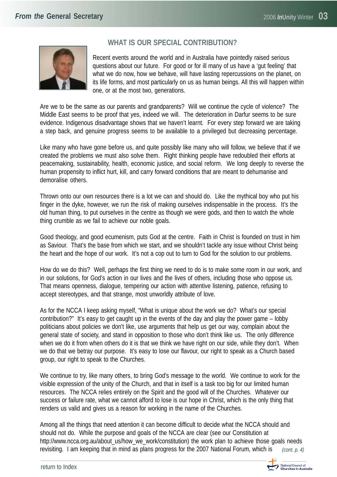<span id="page-2-0"></span>

### **WHAT IS OUR SPECIAL CONTRIBUTION?**

Recent events around the world and in Australia have pointedly raised serious questions about our future. For good or for ill many of us have a 'gut feeling' that what we do now, how we behave, will have lasting repercussions on the planet, on its life forms, and most particularly on us as human beings. All this will happen within one, or at the most two, generations.

Are we to be the same as our parents and grandparents? Will we continue the cycle of violence? The Middle East seems to be proof that yes, indeed we will. The deterioration in Darfur seems to be sure evidence. Indigenous disadvantage shows that we haven't learnt. For every step forward we are taking a step back, and genuine progress seems to be available to a privileged but decreasing percentage.

Like many who have gone before us, and quite possibly like many who will follow, we believe that if we created the problems we must also solve them. Right thinking people have redoubled their efforts at peacemaking, sustainability, health, economic justice, and social reform. We long deeply to reverse the human propensity to inflict hurt, kill, and carry forward conditions that are meant to dehumanise and demoralise others.

Thrown onto our own resources there is a lot we can and should do. Like the mythical boy who put his finger in the dyke, however, we run the risk of making ourselves indispensable in the process. It's the old human thing, to put ourselves in the centre as though we were gods, and then to watch the whole thing crumble as we fail to achieve our noble goals.

Good theology, and good ecumenism, puts God at the centre. Faith in Christ is founded on trust in him as Saviour. That's the base from which we start, and we shouldn't tackle any issue without Christ being the heart and the hope of our work. It's not a cop out to turn to God for the solution to our problems.

How do we do this? Well, perhaps the first thing we need to do is to make some room in our work, and in our solutions, for God's action in our lives and the lives of others, including those who oppose us. That means openness, dialogue, tempering our action with attentive listening, patience, refusing to accept stereotypes, and that strange, most unworldly attribute of love.

As for the NCCA I keep asking myself, "What is unique about the work we do? What's our special contribution?" It's easy to get caught up in the events of the day and play the power game – lobby politicians about policies we don't like, use arguments that help us get our way, complain about the general state of society, and stand in opposition to those who don't think like us. The only difference when we do it from when others do it is that we think we have right on our side, while they don't. When we do that we betray our purpose. It's easy to lose our flavour, our right to speak as a Church based group, our right to speak to the Churches.

We continue to try, like many others, to bring God's message to the world. We continue to work for the visible expression of the unity of the Church, and that in itself is a task too big for our limited human resources. The NCCA relies entirely on the Spirit and the good will of the Churches. Whatever our success or failure rate, what we cannot afford to lose is our hope in Christ, which is the only thing that renders us valid and gives us a reason for working in the name of the Churches.

Among all the things that need attention it can become difficult to decide what the NCCA should and should not do. While the purpose and goals of the NCCA are clear (see our Constitution at [http://www.ncca.org.au/about\\_us/how\\_we\\_work/constitution\)](http://www.ncca.org.au/about_us/how_we_work/constitution) the work plan to achieve those goals needs revisiting. I am keeping that in mind as plans progress for the 2007 National Forum, which is *(cont. p. 4)*

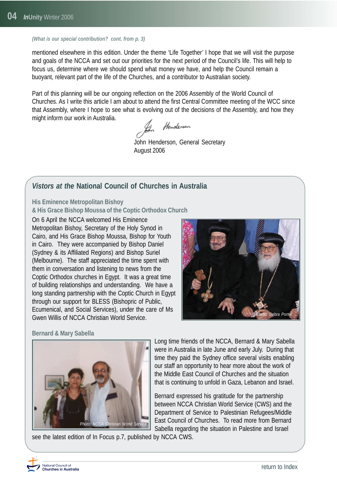#### <span id="page-3-0"></span>*(What is our special contribution? cont. from p. 3)*

mentioned elsewhere in this edition. Under the theme 'Life Together' I hope that we will visit the purpose and goals of the NCCA and set out our priorities for the next period of the Council's life. This will help to focus us, determine where we should spend what money we have, and help the Council remain a buoyant, relevant part of the life of the Churches, and a contributor to Australian society.

Part of this planning will be our ongoing reflection on the 2006 Assembly of the World Council of Churches. As I write this article I am about to attend the first Central Committee meeting of the WCC since that Assembly, where I hope to see what is evolving out of the decisions of the Assembly, and how they might inform our work in Australia.

Henderson

John Henderson, General Secretary August 2006

#### *Vistors at the* **National Council of Churches in Australia**

**His Eminence Metropolitan Bishoy**

**& His Grace Bishop Moussa of the Coptic Orthodox Church**

On 6 April the NCCA welcomed His Eminence Metropolitan Bishoy, Secretary of the Holy Synod in Cairo, and His Grace Bishop Moussa, Bishop for Youth in Cairo. They were accompanied by Bishop Daniel (Sydney & its Affiliated Regions) and Bishop Suriel (Melbourne). The staff appreciated the time spent with them in conversation and listening to news from the Coptic Orthodox churches in Egypt. It was a great time of building relationships and understanding. We have a long standing partnership with the Coptic Church in Egypt through our support for BLESS (Bishopric of Public, Ecumenical, and Social Services), under the care of Ms Gwen Willis of NCCA Christian World Service.



#### **Bernard & Mary Sabella**



see the latest edition of In Focus p.7, published by NCCA CWS.

Long time friends of the NCCA, Bernard & Mary Sabella were in Australia in late June and early July. During that time they paid the Sydney office several visits enabling our staff an opportunity to hear more about the work of the Middle East Council of Churches and the situation that is continuing to unfold in Gaza, Lebanon and Israel.

Bernard expressed his gratitude for the partnership between NCCA Christian World Service (CWS) and the Department of Service to Palestinian Refugees/Middle East Council of Churches. To read more from Bernard Sabella regarding the situation in Palestine and Israel

National Council of งอนเอกอะ codinon or<br>Churches in Australia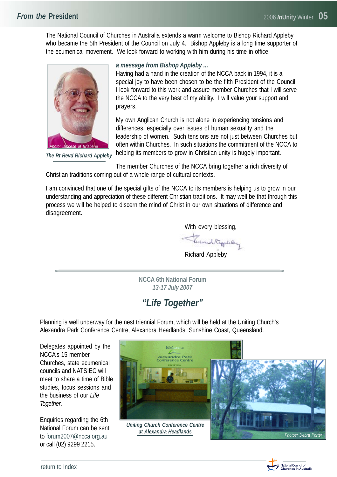<span id="page-4-0"></span>The National Council of Churches in Australia extends a warm welcome to Bishop Richard Appleby who became the 5th President of the Council on July 4. Bishop Appleby is a long time supporter of the ecumenical movement. We look forward to working with him during his time in office.



*The Rt Revd Richard Appleby*

#### *a message from Bishop Appleby ...*

Having had a hand in the creation of the NCCA back in 1994, it is a special joy to have been chosen to be the fifth President of the Council. I look forward to this work and assure member Churches that I will serve the NCCA to the very best of my ability. I will value your support and prayers.

My own Anglican Church is not alone in experiencing tensions and differences, especially over issues of human sexuality and the leadership of women. Such tensions are not just between Churches but often within Churches. In such situations the commitment of the NCCA to helping its members to grow in Christian unity is hugely important.

The member Churches of the NCCA bring together a rich diversity of Christian traditions coming out of a whole range of cultural contexts.

I am convinced that one of the special gifts of the NCCA to its members is helping us to grow in our understanding and appreciation of these different Christian traditions. It may well be that through this process we will be helped to discern the mind of Christ in our own situations of difference and disagreement.

With every blessing,

- Turnand Riggerlang

Richard Appleby

**NCCA 6th National Forum** *13-17 July 2007*

# *"Life Together"*

Planning is well underway for the nest triennial Forum, which will be held at the Uniting Church's Alexandra Park Conference Centre, Alexandra Headlands, Sunshine Coast, Queensland.

Delegates appointed by the NCCA's 15 member Churches, state ecumenical councils and NATSIEC will meet to share a time of Bible studies, focus sessions and the business of our *Life Together*.

Enquiries regarding the 6th National Forum can be sent to [forum2007@ncca.org.au](mailto:forum2007@ncca.org.au) or call (02) 9299 2215.





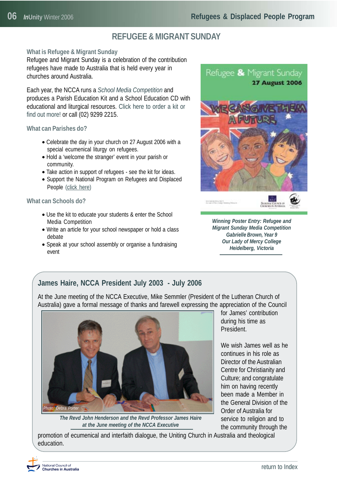# **REFUGEE & MIGRANT SUNDAY**

#### <span id="page-5-0"></span>**What is Refugee & Migrant Sunday**

Refugee and Migrant Sunday is a celebration of the contribution refugees have made to Australia that is held every year in churches around Australia.

Each year, the NCCA runs a *School Media Competition* and produces a Parish Education Kit and a School Education CD with [educational and liturgical resources. Click here to order a kit or](http://www.ncca.org.au/cws/rdp/refugee_and_migrant_sunday) find out more! or call (02) 9299 2215.

#### **What can Parishes do?**

- Celebrate the day in your church on 27 August 2006 with a special ecumenical liturgy on refugees.
- Hold a 'welcome the stranger' event in your parish or community.
- Take action in support of refugees see the kit for ideas.
- Support the National Program on Refugees and Displaced People [\(click here\)](http://www.ncca.org.au/give)

#### **What can Schools do?**

- Use the kit to educate your students & enter the School Media Competition
- Write an article for your school newspaper or hold a class debate
- Speak at your school assembly or organise a fundraising event





#### **James Haire, NCCA President July 2003 - July 2006**

At the June meeting of the NCCA Executive, Mike Semmler (President of the Lutheran Church of Australia) gave a formal message of thanks and farewell expressing the appreciation of the Council



*The Revd John Henderson and the Revd Professor James Haire at the June meeting of the NCCA Executive*

for James' contribution during his time as President.

We wish James well as he continues in his role as Director of the Australian Centre for Christianity and Culture; and congratulate him on having recently been made a Member in the General Division of the Order of Australia for service to religion and to the community through the

promotion of ecumenical and interfaith dialogue, the Uniting Church in Australia and theological education.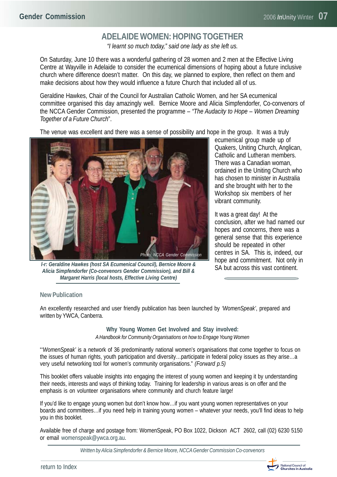# **ADELAIDE WOMEN: HOPING TOGETHER**

*"I learnt so much today," said one lady as she left us.*

<span id="page-6-0"></span>On Saturday, June 10 there was a wonderful gathering of 28 women and 2 men at the Effective Living Centre at Wayville in Adelaide to consider the ecumenical dimensions of hoping about a future inclusive church where difference doesn't matter. On this day, we planned to explore, then reflect on them and make decisions about how they would influence a future Church that included all of us.

Geraldine Hawkes, Chair of the Council for Australian Catholic Women, and her SA ecumenical committee organised this day amazingly well. Bernice Moore and Alicia Simpfendorfer, Co-convenors of the NCCA Gender Commission, presented the programme – *"The Audacity to Hope – Women Dreaming Together of a Future Church*".

The venue was excellent and there was a sense of possibility and hope in the group. It was a truly



*l-r: Geraldine Hawkes (host SA Ecumenical Council), Bernice Moore & Alicia Simpfendorfer (Co-convenors Gender Commission), and Bill & Margaret Harris (local hosts, Effective Living Centre)*

ecumenical group made up of Quakers, Uniting Church, Anglican, Catholic and Lutheran members. There was a Canadian woman, ordained in the Uniting Church who has chosen to minister in Australia and she brought with her to the Workshop six members of her vibrant community.

It was a great day! At the conclusion, after we had named our hopes and concerns, there was a general sense that this experience should be repeated in other centres in SA. This is, indeed, our hope and commitment. Not only in SA but across this vast continent.

#### **New Publication**

An excellently researched and user friendly publication has been launched by *'WomenSpeak'*, prepared and written by YWCA, Canberra.

> **Why Young Women Get Involved and Stay involved:** *A Handbook for Community Organisations on how to Engage Young Women*

"*'WomenSpeak'* is a network of 36 predominantly national women's organisations that come together to focus on the issues of human rights, youth participation and diversity…participate in federal policy issues as they arise…a very useful networking tool for women's community organisations." *(Forward p.5)*

This booklet offers valuable insights into engaging the interest of young women and keeping it by understanding their needs, interests and ways of thinking today. Training for leadership in various areas is on offer and the emphasis is on volunteer organisations where community and church feature large!

If you'd like to engage young women but don't know how…if you want young women representatives on your boards and committees…if you need help in training young women – whatever your needs, you'll find ideas to help you in this booklet.

Available free of charge and postage from: WomenSpeak, PO Box 1022, Dickson ACT 2602, call (02) 6230 5150 or email [womenspeak@ywca.org.au.](mailto:womenspeak@ywca.org.au)

*[Written by Alicia Simpfendorfer & Bernice Moore, NCCA Gender Commission Co-convenors](http://www.ncca.org.au/departments/gender)*

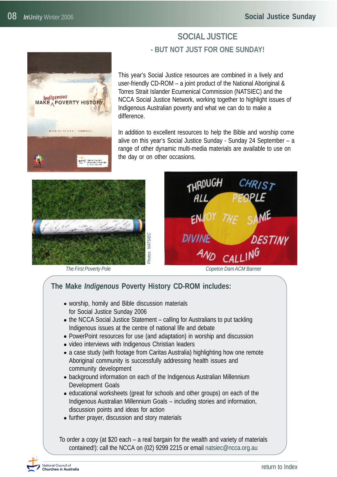<span id="page-7-0"></span>Indigenous<br>MAKE A POVERTY HISTOR

**ILSUD RELEASED FOR CAMPAIGN** 

# **SOCIAL JUSTICE - BUT NOT JUST FOR ONE SUNDAY!**

This year's Social Justice resources are combined in a lively and user-friendly CD-ROM – a joint product of the National Aboriginal & Torres Strait Islander Ecumenical Commission (NATSIEC) and the NCCA Social Justice Network, working together to highlight issues of Indigenous Australian poverty and what we can do to make a difference.

In addition to excellent resources to help the Bible and worship come alive on this year's Social Justice Sunday - Sunday 24 September – a range of other dynamic multi-media materials are available to use on the day or on other occasions.





## **The Make** *Indigenous* **Poverty History CD-ROM includes:**

- worship, homily and Bible discussion materials for Social Justice Sunday 2006
- the NCCA Social Justice Statement calling for Australians to put tackling Indigenous issues at the centre of national life and debate
- PowerPoint resources for use (and adaptation) in worship and discussion
- video interviews with Indigenous Christian leaders
- a case study (with footage from Caritas Australia) highlighting how one remote Aboriginal community is successfully addressing health issues and community development
- background information on each of the Indigenous Australian Millennium Development Goals
- educational worksheets (great for schools and other groups) on each of the Indigenous Australian Millennium Goals – including stories and information, discussion points and ideas for action
- further prayer, discussion and story materials

To order a copy (at \$20 each – a real bargain for the wealth and variety of materials contained!): call the NCCA on (02) 9299 2215 or email [natsiec@ncca.org.au](mailto:natsiec@ncca.org.au)

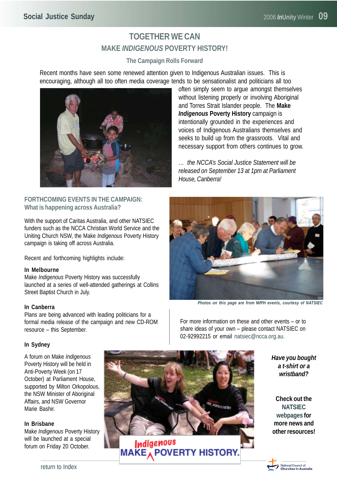# **TOGETHER WE CAN MAKE** *INDIGENOUS* **POVERTY HISTORY!**

#### **The Campaign Rolls Forward**

Recent months have seen some renewed attention given to Indigenous Australian issues. This is encouraging, although all too often media coverage tends to be sensationalist and politicians all too



#### **FORTHCOMING EVENTS IN THE CAMPAIGN: What is happening across Australia?**

With the support of Caritas Australia, and other NATSIEC funders such as the NCCA Christian World Service and the Uniting Church NSW, the Make *Indigenous* Poverty History campaign is taking off across Australia.

Recent and forthcoming highlights include:

#### **In Melbourne**

Make *Indigenous* Poverty History was successfully launched at a series of well-attended gatherings at Collins Street Baptist Church in July.

#### **In Canberra**

Plans are being advanced with leading politicians for a formal media release of the campaign and new CD-ROM resource – this September.

#### **In Sydney**

A forum on Make *Indigenous* Poverty History will be held in Anti-Poverty Week (on 17 October) at Parliament House, supported by Milton Orkopolous, the NSW Minister of Aboriginal Affairs, and NSW Governor Marie Bashir.

#### **In Brisbane**

Make *Indigenous* Poverty History will be launched at a special forum on Friday 20 October.



often simply seem to argue amongst themselves without listening properly or involving Aboriginal and Torres Strait Islander people. The **Make** *Indigenous* **Poverty History** campaign is intentionally grounded in the experiences and voices of Indigenous Australians themselves and seeks to build up from the grassroots. Vital and necessary support from others continues to grow.

*… the NCCA's Social Justice Statement will be released on September 13 at 1pm at Parliament House, Canberra!*



*Photos on this page are from* **M***I***PH** *events, courtesy of NATSIEC*

For more information on these and other events – or to share ideas of your own – please contact NATSIEC on 02-92992215 or email [natsiec@ncca.org.au.](mailto:natsiec@ncca.org.au)

> *Have you bought a t-shirt or a wristband?*

**Check out the NATSIEC webpages for more news and [other resources!](http://www.ncca.org.au/natsiec)**

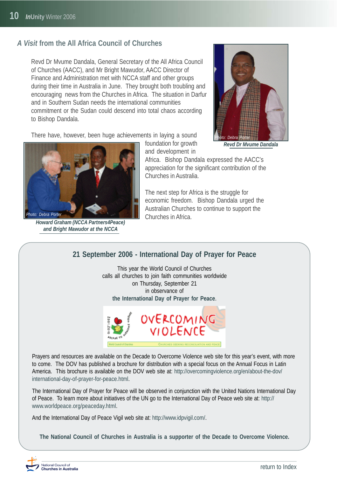# <span id="page-9-0"></span>*A Visit* **from the All Africa Council of Churches**

Revd Dr Mvume Dandala, General Secretary of the All Africa Council of Churches (AACC), and Mr Bright Mawudor, AACC Director of Finance and Administration met with NCCA staff and other groups during their time in Australia in June. They brought both troubling and encouraging news from the Churches in Africa. The situation in Darfur and in Southern Sudan needs the international communities commitment or the Sudan could descend into total chaos according to Bishop Dandala.

There have, however, been huge achievements in laying a sound



*Howard Graham (NCCA Partners4Peace) and Bright Mawudor at the NCCA*

foundation for growth and development in

Africa. Bishop Dandala expressed the AACC's appreciation for the significant contribution of the Churches in Australia.

The next step for Africa is the struggle for economic freedom. Bishop Dandala urged the Australian Churches to continue to support the Churches in Africa.

**21 September 2006 - International Day of Prayer for Peace**

This year the World Council of Churches calls all churches to join faith communities worldwide on Thursday, September 21 in observance of **the International Day of Prayer for Peace**.



Prayers and resources are available on the Decade to Overcome Violence web site for this year's event, with more to come. The DOV has published a brochure for distribution with a special focus on the Annual Focus in Latin [America. This brochure is available on the DOV web site at: http://overcomingviolence.org/en/about-the-dov/](http://overcomingviolence.org/en/about-the-dov/) international-day-of-prayer-for-peace.html.

The International Day of Prayer for Peace will be observed in conjunction with the United Nations International Day [of Peace. To learn more about initiatives of the UN go to the International Day of Peace web site at: http://](http://www.worldpeace.org/peaceday.html) www.worldpeace.org/peaceday.html.

And the International Day of Peace Vigil web site at[: http://www.idpvigil.com/.](http://www.idpvigil.com)

**The National Council of Churches in Australia is a supporter of the Decade to Overcome Violence.**



*Revd Dr Mvume Dandala*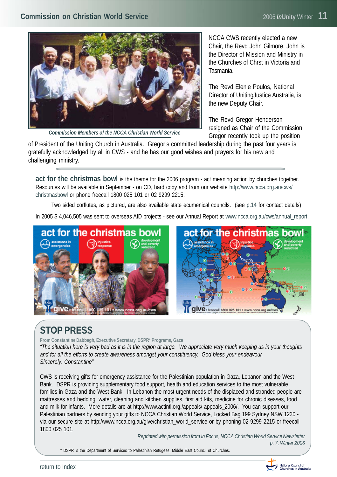<span id="page-10-0"></span>

*Commission Members of the NCCA Christian World Service*

NCCA CWS recently elected a new Chair, the Revd John Gilmore. John is the Director of Mission and Ministry in the Churches of Chrst in Victoria and Tasmania.

The Revd Elenie Poulos, National Director of UnitingJustice Australia, is the new Deputy Chair.

The Revd Gregor Henderson resigned as Chair of the Commission. Gregor recently took up the position

of President of the Uniting Church in Australia. Gregor's committed leadership during the past four years is gratefully acknowledged by all in CWS - and he has our good wishes and prayers for his new and challenging ministry.

**act for the christmas bowl** is the theme for the 2006 program - act meaning action by churches together. [Resources will be available in September - on CD, hard copy and from our website http://www.ncca.org.au/cws/](http://www.ncca.org.au/cws/christmasbowl) christmasbowl or phone freecall 1800 025 101 or 02 9299 2215.

Two sided corflutes, as pictured, are also available state ecumenical councils. (se[e p.14](#page-13-0) for contact details)

In 2005 \$ 4,046,505 was sent to overseas AID projects - see our Annual Report at www.ncca.org.au/cws/annual\_report.



# **STOP PRESS**

**From Constantine Dabbagh, Executive Secretary, DSPR\* Programs, Gaza**

*"The situation here is very bad as it is in the region at large. We appreciate very much keeping us in your thoughts and for all the efforts to create awareness amongst your constituency. God bless your endeavour. Sincerely, Constantine"*

CWS is receiving gifts for emergency assistance for the Palestinian population in Gaza, Lebanon and the West Bank. DSPR is providing supplementary food support, health and education services to the most vulnerable families in Gaza and the West Bank. In Lebanon the most urgent needs of the displaced and stranded people are mattresses and bedding, water, cleaning and kitchen supplies, first aid kits, medicine for chronic diseases, food and milk for infants. More details are at http://www.actintl.org./appeals/ appeals\_2006/. You can support our Palestinian partners by sending your gifts to NCCA Christian World Service, Locked Bag 199 Sydney NSW 1230 via our secure site at [http://www.ncca.org.au/give/christian\\_world\\_service](http://www.ncca.org.au/give/christian_world_service) or by phoning 02 9299 2215 or freecall 1800 025 101.

> *Reprinted with permission from In Focus, NCCA Christian World Service Newsletter p. 7, Winter 2006*

\* DSPR is the Department of Services to Palestinian Refugees, Middle East Council of Churches.

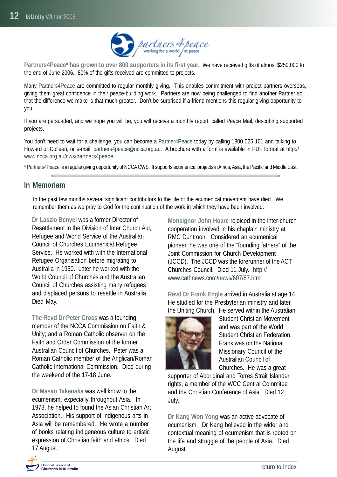

<span id="page-11-0"></span>**Partners4Peace\* has grown to over 800 supporters in its first year.** We have received gifts of almost \$250,000 to the end of June 2006. 80% of the gifts received are committed to projects.

Many Partners4Peace are committed to regular monthly giving. This enables commitment with project partners overseas, giving them great confidence in their peace-building work. Partners are now being challenged to find another Partner so that the difference we make is that much greater. Don't be surprised if a friend mentions this regular giving opportunity to you.

If you are persuaded, and we hope you will be, you will receive a monthly report, called Peace Mail, describing supported projects.

You don't need to wait for a challenge, you can become a Partner4Peace today by calling 1800 025 101 and talking to Howard or Colleen, or e-mail[: partners4peace@ncca.org.au.](mailto:partners4peace@ncca.org.au) A brochure with a form is available in PDF format a[t http://](http://www.ncca.org.au/cws/partners4peace) [www.ncca.org.au/cws/partners4peace.](http://www.ncca.org.au/cws/partners4peace)

\* Partners4Peace is a regular giving opportunity of NCCA CWS. It supports ecumenical projects in Africa, Asia, the Pacific and Middle East.

#### **In Memoriam**

In the past few months several significant contributors to the life of the ecumenical movement have died. We remember them as we pray to God for the continuation of the work in which they have been involved.

**Dr Laszlo Benyei** was a former Director of Resettlement in the Division of Inter Church Aid, Refugee and World Service of the Australian Council of Churches Ecumenical Refugee Service. He worked with with the International Refugee Organisation before migrating to Australia in 1950. Later he worked with the World Council of Churches and the Australian Council of Churches assisting many refugees and displaced persons to resettle in Australia. Died May.

**The Revd Dr Peter Cross** was a founding member of the NCCA Commission on Faith & Unity; and a Roman Catholic observer on the Faith and Order Commission of the former Australian Council of Churches. Peter was a Roman Catholic member of the Anglican/Roman Catholic International Commission. Died during the weekend of the 17-18 June.

**Dr Masao Takenaka** was well know to the ecumenism, expecially throughout Asia. In 1978, he helped to found the Asian Christian Art Association. His support of indigenous arts in Asia will be remembered. He wrote a number of books relating indigeneous culture to artistic expression of Christian faith and ethics. Died 17 August.

**Monsignor John Hoare** rejoiced in the inter-church cooperation involved in his chaplain ministry at RMC Duntroon. Considered an ecumenical pioneer, he was one of the "founding fathers" of the Joint Commission for Church Development (JCCD). The JCCD was the forerunner of the ACT [Churches Council. Died 11 July. http://](http://www.cathnews.com/news/607/87.html) www.cathnews.com/news/607/87.html

**Revd Dr Frank Engle** arrived in Australia at age 14. He studied for the Presbyterian ministry and later the Uniting Church. He served within the Australian



Student Christian Movement and was part of the World Student Christian Federation. Frank was on the National Missionary Council of the Australian Council of Churches. He was a great

supporter of Aboriginal and Torres Strait Islander rights, a member of the WCC Central Commitee and the Christian Conference of Asia. Died 12 July.

**Dr Kang Won Yong** was an active advocate of ecumenism. Dr Kang believed in the wider and contextual meaning of ecumenism that is rooted on the life and struggle of the people of Asia. Died August.

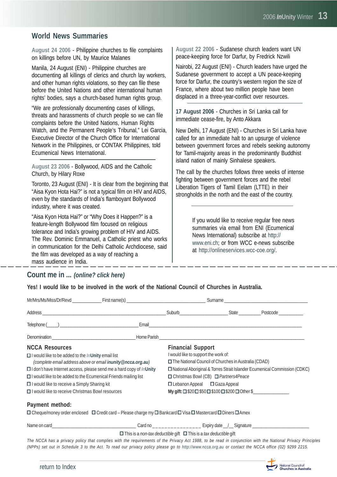#### <span id="page-12-0"></span>**World News Summaries**

**August 24 2006** - Philippine churches to file complaints on killings before UN, by Maurice Malanes

Manila, 24 August (ENI) - Philippine churches are documenting all killings of clerics and church lay workers, and other human rights violations, so they can file these before the United Nations and other international human rights' bodies, says a church-based human rights group.

"We are professionally documenting cases of killings, threats and harassments of church people so we can file complaints before the United Nations, Human Rights Watch, and the Permanent People's Tribunal," Lei Garcia, Executive Director of the Church Office for International Network in the Philippines, or CONTAK Philippines, told Ecumenical News International.

**August 23 2006** - Bollywood, AIDS and the Catholic Church, by Hilary Roxe

Toronto, 23 August (ENI) - It is clear from the beginning that "Aisa Kyon Hota Hai?" is not a typical film on HIV and AIDS, even by the standards of India's flamboyant Bollywood industry, where it was created.

"Aisa Kyon Hota Hai?" or "Why Does it Happen?" is a feature-length Bollywood film focused on religious tolerance and India's growing problem of HIV and AIDS. The Rev. Dominic Emmanuel, a Catholic priest who works in communication for the Delhi Catholic Archdiocese, said the film was developed as a way of reaching a mass audience in India.

#### **Count me in ...** *(online? click here)*

**Yes! I would like to be involved in the work of the National Council of Churches in Australia.**

| <b>NCCA Resources</b><br>$\Box$ I would like to be added to the <i>In</i> Unity email list<br>(complete email address above or email inunity@ncca.org.au)<br>□ I don't have Internet access, please send me a hard copy of InUnity<br>$\Box$ I would like to be added to the Ecumenical Friends mailing list<br>□ I would like to receive a Simply Sharing kit<br>□ I would like to receive Christmas Bowl resources |  | <b>Financial Support</b><br>I would like to support the work of:<br>$\Box$ The National Council of Churches in Australia (CDAD)<br>□ National Aboriginal & Torres Strait Islander Ecumenical Commission (CDKC)<br>$\Box$ Christmas Bowl (CB) $\Box$ Partners4Peace<br>$\Box$ Lebanon Appeal $\Box$ Gaza Appeal<br>$My$ gift: $\Box$ \$20 $\Box$ \$50 $\Box$ \$100 $\Box$ \$200 $\Box$ Other \$ |  |  |
|----------------------------------------------------------------------------------------------------------------------------------------------------------------------------------------------------------------------------------------------------------------------------------------------------------------------------------------------------------------------------------------------------------------------|--|------------------------------------------------------------------------------------------------------------------------------------------------------------------------------------------------------------------------------------------------------------------------------------------------------------------------------------------------------------------------------------------------|--|--|
| Payment method:<br>$\Box$ Cheque/money order enclosed $\Box$ Credit card – Please charge my $\Box$ Bankcard $\Box$ Visa $\Box$ Mastercard $\Box$ Diners $\Box$ Amex                                                                                                                                                                                                                                                  |  |                                                                                                                                                                                                                                                                                                                                                                                                |  |  |
|                                                                                                                                                                                                                                                                                                                                                                                                                      |  |                                                                                                                                                                                                                                                                                                                                                                                                |  |  |

This is a *non-tax deductible* gift This is a *tax deductible* gift

*The NCCA has a privacy policy that complies with the requirements of the Privacy Act 1988, to be read in conjunction with the National Privacy Principles (NPPs) set out in Schedule 3 to the Act. To read our privacy policy please go to<http://www.ncca.org.au> or contact the NCCA office (02) 9299 2215.*



**August 22 2006** - Sudanese church leaders want UN peace-keeping force for Darfur, by Fredrick Nzwili

Nairobi, 22 August (ENI) - Church leaders have urged the Sudanese government to accept a UN peace-keeping force for Darfur, the country's western region the size of France, where about two million people have been displaced in a three-year-conflict over resources.

**17 August 2006** - Churches in Sri Lanka call for immediate cease-fire, by Anto Akkara

New Delhi, 17 August (ENI) - Churches in Sri Lanka have called for an immediate halt to an upsurge of violence between government forces and rebels seeking autonomy for Tamil-majority areas in the predominantly Buddhist island nation of mainly Sinhalese speakers.

The call by the churches follows three weeks of intense fighting between government forces and the rebel Liberation Tigers of Tamil Eelam (LTTE) in their strongholds in the north and the east of the country.

> If you would like to receive regular free news summaries via email from ENI (Ecumenical News International) subscribe at [http://](http://www.eni.ch) [www.eni.ch;](http://www.eni.ch) or from WCC e-news subscribe at [http://onlineservices.wcc-coe.org/.](http://onlineservices.wcc-coe.org/)